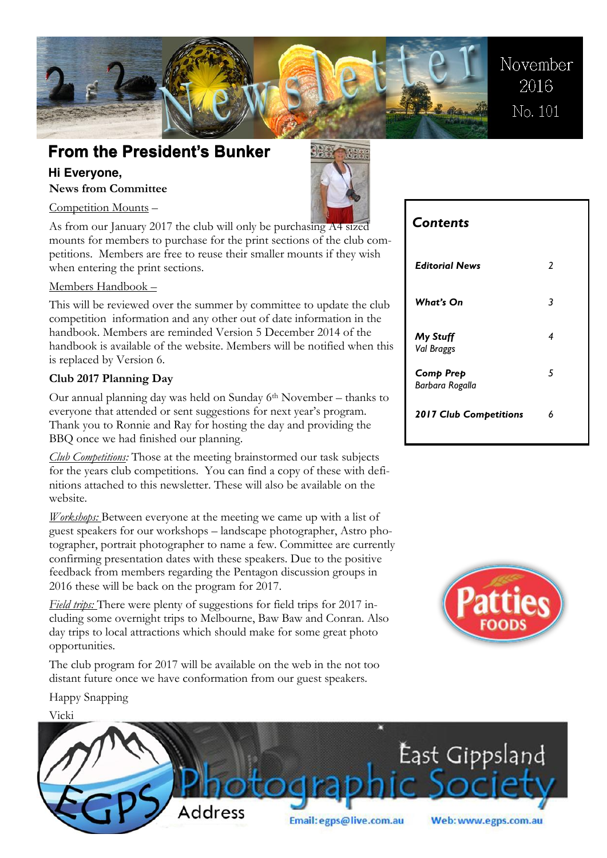

## **From the President's Bunker From the President's Bunker**

### **Hi Everyone,**

**News from Committee** 



Competition Mounts –

As from our January 2017 the club will only be purchasing A4 sized mounts for members to purchase for the print sections of the club competitions. Members are free to reuse their smaller mounts if they wish when entering the print sections.

### Members Handbook –

This will be reviewed over the summer by committee to update the club competition information and any other out of date information in the handbook. Members are reminded Version 5 December 2014 of the handbook is available of the website. Members will be notified when this is replaced by Version 6.

### **Club 2017 Planning Day**

Our annual planning day was held on Sunday 6th November – thanks to everyone that attended or sent suggestions for next year's program. Thank you to Ronnie and Ray for hosting the day and providing the BBQ once we had finished our planning.

*Club Competitions:* Those at the meeting brainstormed our task subjects for the years club competitions. You can find a copy of these with definitions attached to this newsletter. These will also be available on the website.

*Workshops:* Between everyone at the meeting we came up with a list of guest speakers for our workshops – landscape photographer, Astro photographer, portrait photographer to name a few. Committee are currently confirming presentation dates with these speakers. Due to the positive feedback from members regarding the Pentagon discussion groups in 2016 these will be back on the program for 2017.

*Field trips:* There were plenty of suggestions for field trips for 2017 including some overnight trips to Melbourne, Baw Baw and Conran. Also day trips to local attractions which should make for some great photo opportunities.

The club program for 2017 will be available on the web in the not too distant future once we have conformation from our guest speakers.

*Editorial News 2 What's On 3 My Stuff*

*Contents*

*Val Braggs Comp Prep* *4*

*5*

*Barbara Rogalla 2017 Club Competitions 6*



Happy Snapping

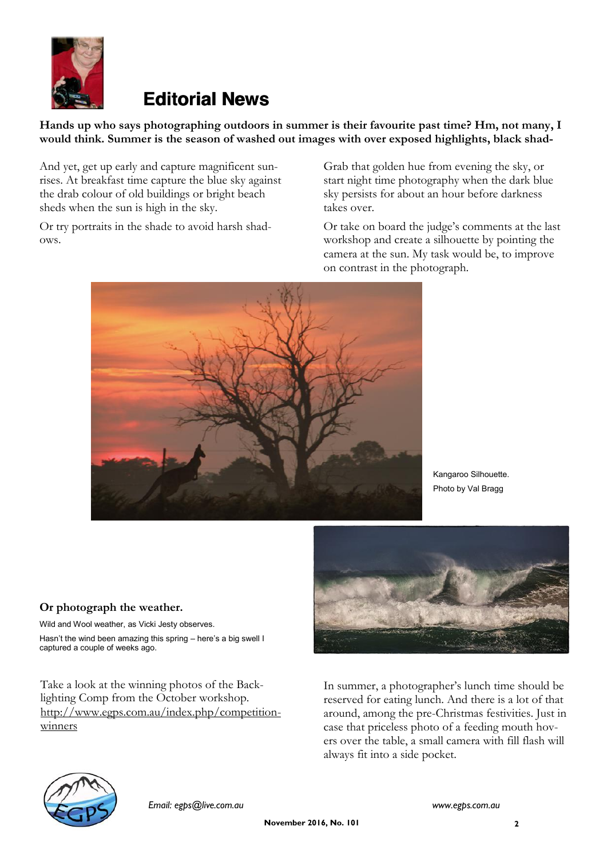

# **Editorial News**

### **Hands up who says photographing outdoors in summer is their favourite past time? Hm, not many, I would think. Summer is the season of washed out images with over exposed highlights, black shad-**

And yet, get up early and capture magnificent sunrises. At breakfast time capture the blue sky against the drab colour of old buildings or bright beach sheds when the sun is high in the sky.

Or try portraits in the shade to avoid harsh shadows.

Grab that golden hue from evening the sky, or start night time photography when the dark blue sky persists for about an hour before darkness takes over.

Or take on board the judge's comments at the last workshop and create a silhouette by pointing the camera at the sun. My task would be, to improve on contrast in the photograph.



Kangaroo Silhouette. Photo by Val Bragg

### **Or photograph the weather.**

Wild and Wool weather, as Vicki Jesty observes. Hasn't the wind been amazing this spring – here's a big swell I captured a couple of weeks ago.

Take a look at the winning photos of the Backlighting Comp from the October workshop. [http://www.egps.com.au/index.php/competition](http://www.egps.com.au/index.php/competition-winners)[winners](http://www.egps.com.au/index.php/competition-winners)



In summer, a photographer's lunch time should be reserved for eating lunch. And there is a lot of that around, among the pre-Christmas festivities. Just in case that priceless photo of a feeding mouth hovers over the table, a small camera with fill flash will always fit into a side pocket.

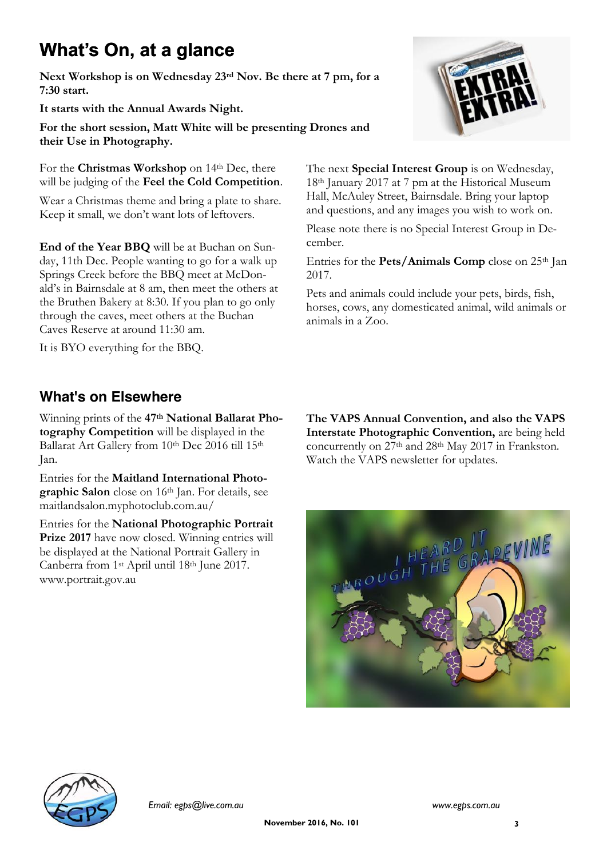# **What's On, at a glance**

**Next Workshop is on Wednesday 23rd Nov. Be there at 7 pm, for a 7:30 start.**

**It starts with the Annual Awards Night.**

**For the short session, Matt White will be presenting Drones and their Use in Photography.**

For the **Christmas Workshop** on 14<sup>th</sup> Dec, there will be judging of the **Feel the Cold Competition**.

Wear a Christmas theme and bring a plate to share. Keep it small, we don't want lots of leftovers.

**End of the Year BBQ** will be at Buchan on Sunday, 11th Dec. People wanting to go for a walk up Springs Creek before the BBQ meet at McDonald's in Bairnsdale at 8 am, then meet the others at the Bruthen Bakery at 8:30. If you plan to go only through the caves, meet others at the Buchan Caves Reserve at around 11:30 am.

It is BYO everything for the BBQ.

## **What's on Elsewhere**

Winning prints of the **47th National Ballarat Photography Competition** will be displayed in the Ballarat Art Gallery from 10th Dec 2016 till 15th Jan.

Entries for the **Maitland International Photographic Salon** close on 16th Jan. For details, see maitlandsalon.myphotoclub.com.au/

Entries for the **National Photographic Portrait Prize 2017** have now closed. Winning entries will be displayed at the National Portrait Gallery in Canberra from 1st April until 18th June 2017. www.portrait.gov.au

**The VAPS Annual Convention, and also the VAPS Interstate Photographic Convention,** are being held concurrently on 27th and 28th May 2017 in Frankston. Watch the VAPS newsletter for updates.

The next **Special Interest Group** is on Wednesday, 18th January 2017 at 7 pm at the Historical Museum Hall, McAuley Street, Bairnsdale. Bring your laptop and questions, and any images you wish to work on. Please note there is no Special Interest Group in De-

Entries for the **Pets/Animals Comp** close on 25th Jan

Pets and animals could include your pets, birds, fish, horses, cows, any domesticated animal, wild animals or

cember.

2017.

animals in a Zoo.





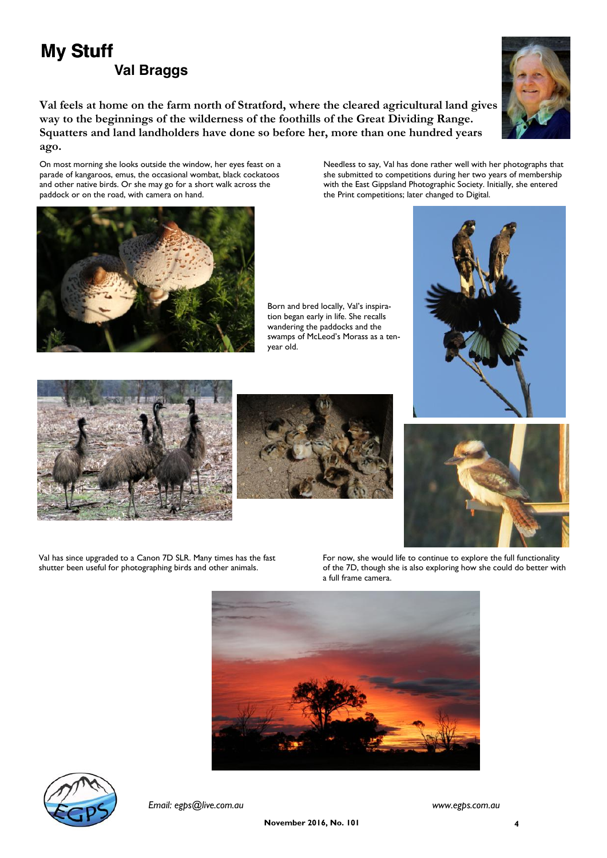# **My Stuff Val Braggs**

**Val feels at home on the farm north of Stratford, where the cleared agricultural land gives way to the beginnings of the wilderness of the foothills of the Great Dividing Range. Squatters and land landholders have done so before her, more than one hundred years ago.**

On most morning she looks outside the window, her eyes feast on a parade of kangaroos, emus, the occasional wombat, black cockatoos and other native birds. Or she may go for a short walk across the paddock or on the road, with camera on hand.

Needless to say, Val has done rather well with her photographs that she submitted to competitions during her two years of membership with the East Gippsland Photographic Society. Initially, she entered the Print competitions; later changed to Digital.

Born and bred locally, Val's inspiration began early in life. She recalls wandering the paddocks and the swamps of McLeod's Morass as a tenyear old.







Val has since upgraded to a Canon 7D SLR. Many times has the fast shutter been useful for photographing birds and other animals.

For now, she would life to continue to explore the full functionality of the 7D, though she is also exploring how she could do better with a full frame camera.









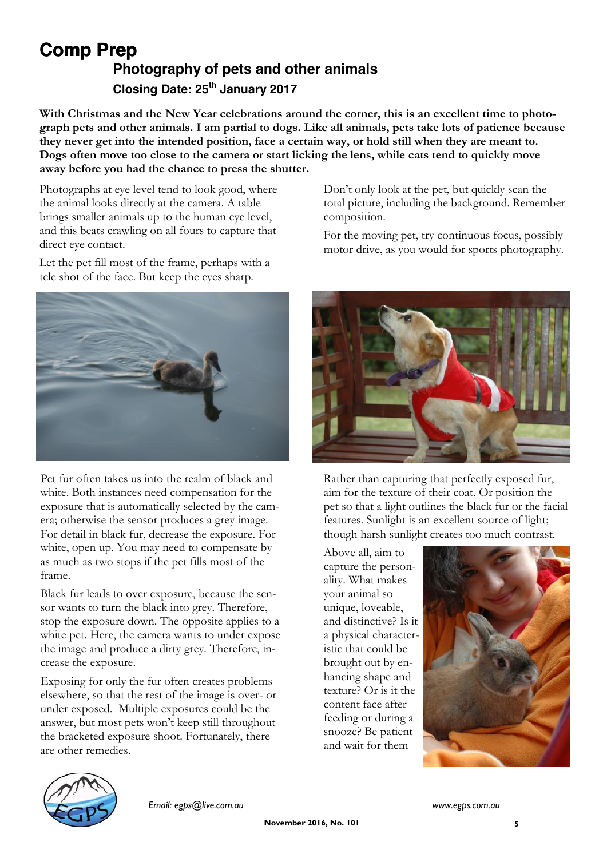## **Comp Prep Photography of pets and other animals Closing Date: 25th January 2017**

With Christmas and the New Year celebrations around the corner, this is an excellent time to photo**graph pets and other animals. I am partial to dogs. Like all animals, pets take lots of patience because they never get into the intended position, face a certain way, or hold still when they are meant to. Dogs often move too close to the camera or start licking the lens, while cats tend to quickly move away before you had the chance to press the shutter.**

Photographs at eye level tend to look good, where the animal looks directly at the camera. A table brings smaller animals up to the human eye level, and this beats crawling on all fours to capture that direct eye contact.

Let the pet fill most of the frame, perhaps with a tele shot of the face. But keep the eyes sharp.



Pet fur often takes us into the realm of black and white. Both instances need compensation for the exposure that is automatically selected by the camera; otherwise the sensor produces a grey image. For detail in black fur, decrease the exposure. For white, open up. You may need to compensate by as much as two stops if the pet fills most of the frame.

Black fur leads to over exposure, because the sensor wants to turn the black into grey. Therefore, stop the exposure down. The opposite applies to a white pet. Here, the camera wants to under expose the image and produce a dirty grey. Therefore, increase the exposure.

Exposing for only the fur often creates problems elsewhere, so that the rest of the image is over- or under exposed. Multiple exposures could be the answer, but most pets won't keep still throughout the bracketed exposure shoot. Fortunately, there are other remedies.

Don't only look at the pet, but quickly scan the total picture, including the background. Remember composition.

For the moving pet, try continuous focus, possibly motor drive, as you would for sports photography.



Rather than capturing that perfectly exposed fur, aim for the texture of their coat. Or position the pet so that a light outlines the black fur or the facial features. Sunlight is an excellent source of light; though harsh sunlight creates too much contrast.

Above all, aim to capture the personality. What makes your animal so unique, loveable, and distinctive? Is it a physical characteristic that could be brought out by enhancing shape and texture? Or is it the content face after feeding or during a snooze? Be patient and wait for them